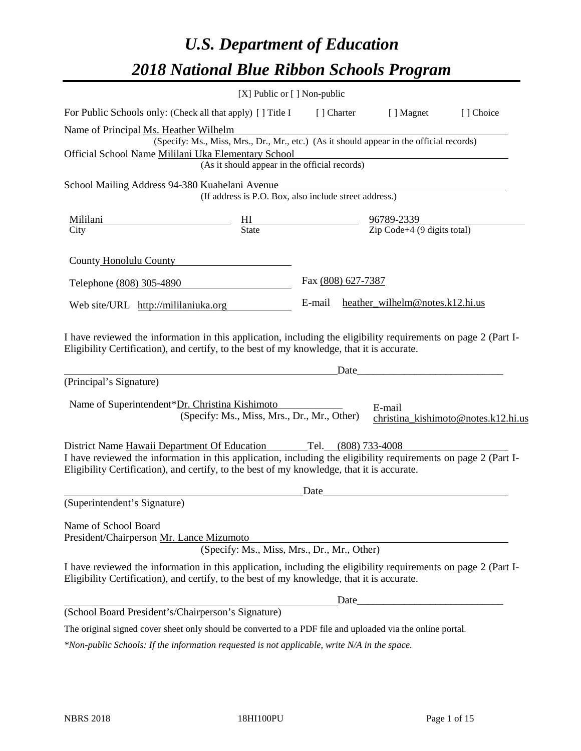# *U.S. Department of Education 2018 National Blue Ribbon Schools Program*

|                                                                                                                                                                                                              | [X] Public or [] Non-public                                                              |                    |                                 |                                     |
|--------------------------------------------------------------------------------------------------------------------------------------------------------------------------------------------------------------|------------------------------------------------------------------------------------------|--------------------|---------------------------------|-------------------------------------|
| For Public Schools only: (Check all that apply) [] Title I                                                                                                                                                   |                                                                                          | [ ] Charter        | [ ] Magnet                      | [] Choice                           |
| Name of Principal Ms. Heather Wilhelm                                                                                                                                                                        |                                                                                          |                    |                                 |                                     |
| Official School Name Mililani Uka Elementary School                                                                                                                                                          | (Specify: Ms., Miss, Mrs., Dr., Mr., etc.) (As it should appear in the official records) |                    |                                 |                                     |
|                                                                                                                                                                                                              | (As it should appear in the official records)                                            |                    |                                 |                                     |
| School Mailing Address 94-380 Kuahelani Avenue                                                                                                                                                               |                                                                                          |                    |                                 |                                     |
|                                                                                                                                                                                                              | (If address is P.O. Box, also include street address.)                                   |                    |                                 |                                     |
| Mililani                                                                                                                                                                                                     | $\frac{\text{HI}}{\text{State}}$ $\frac{96789-2339}{\text{Zip Code}+4 (9 digits total)}$ |                    |                                 |                                     |
| City                                                                                                                                                                                                         |                                                                                          |                    |                                 |                                     |
| County Honolulu County                                                                                                                                                                                       |                                                                                          |                    |                                 |                                     |
| Telephone (808) 305-4890                                                                                                                                                                                     |                                                                                          | Fax (808) 627-7387 |                                 |                                     |
| Web site/URL http://mililaniuka.org                                                                                                                                                                          |                                                                                          | E-mail             | heather_wilhelm@notes.k12.hi.us |                                     |
| Eligibility Certification), and certify, to the best of my knowledge, that it is accurate.<br>(Principal's Signature)                                                                                        |                                                                                          | Date               |                                 |                                     |
| Name of Superintendent*Dr. Christina Kishimoto                                                                                                                                                               | (Specify: Ms., Miss, Mrs., Dr., Mr., Other)                                              |                    | E-mail                          | christina_kishimoto@notes.k12.hi.us |
| District Name Hawaii Department Of Education Tel. (808) 733-4008                                                                                                                                             |                                                                                          |                    |                                 |                                     |
| I have reviewed the information in this application, including the eligibility requirements on page 2 (Part I-<br>Eligibility Certification), and certify, to the best of my knowledge, that it is accurate. |                                                                                          |                    |                                 |                                     |
|                                                                                                                                                                                                              |                                                                                          | Date               |                                 |                                     |
| (Superintendent's Signature)                                                                                                                                                                                 |                                                                                          |                    |                                 |                                     |
| Name of School Board<br>President/Chairperson Mr. Lance Mizumoto                                                                                                                                             | (Specify: Ms., Miss, Mrs., Dr., Mr., Other)                                              |                    |                                 |                                     |
| I have reviewed the information in this application, including the eligibility requirements on page 2 (Part I-<br>Eligibility Certification), and certify, to the best of my knowledge, that it is accurate. |                                                                                          |                    |                                 |                                     |
|                                                                                                                                                                                                              |                                                                                          |                    |                                 |                                     |
| (School Board President's/Chairperson's Signature)                                                                                                                                                           |                                                                                          |                    |                                 |                                     |
| The original signed cover sheet only should be converted to a PDF file and uploaded via the online portal.                                                                                                   |                                                                                          |                    |                                 |                                     |

*\*Non-public Schools: If the information requested is not applicable, write N/A in the space.*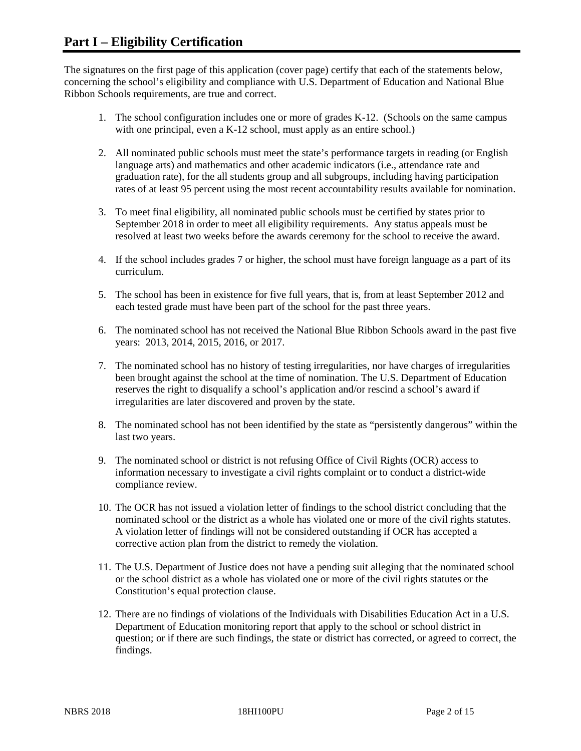The signatures on the first page of this application (cover page) certify that each of the statements below, concerning the school's eligibility and compliance with U.S. Department of Education and National Blue Ribbon Schools requirements, are true and correct.

- 1. The school configuration includes one or more of grades K-12. (Schools on the same campus with one principal, even a K-12 school, must apply as an entire school.)
- 2. All nominated public schools must meet the state's performance targets in reading (or English language arts) and mathematics and other academic indicators (i.e., attendance rate and graduation rate), for the all students group and all subgroups, including having participation rates of at least 95 percent using the most recent accountability results available for nomination.
- 3. To meet final eligibility, all nominated public schools must be certified by states prior to September 2018 in order to meet all eligibility requirements. Any status appeals must be resolved at least two weeks before the awards ceremony for the school to receive the award.
- 4. If the school includes grades 7 or higher, the school must have foreign language as a part of its curriculum.
- 5. The school has been in existence for five full years, that is, from at least September 2012 and each tested grade must have been part of the school for the past three years.
- 6. The nominated school has not received the National Blue Ribbon Schools award in the past five years: 2013, 2014, 2015, 2016, or 2017.
- 7. The nominated school has no history of testing irregularities, nor have charges of irregularities been brought against the school at the time of nomination. The U.S. Department of Education reserves the right to disqualify a school's application and/or rescind a school's award if irregularities are later discovered and proven by the state.
- 8. The nominated school has not been identified by the state as "persistently dangerous" within the last two years.
- 9. The nominated school or district is not refusing Office of Civil Rights (OCR) access to information necessary to investigate a civil rights complaint or to conduct a district-wide compliance review.
- 10. The OCR has not issued a violation letter of findings to the school district concluding that the nominated school or the district as a whole has violated one or more of the civil rights statutes. A violation letter of findings will not be considered outstanding if OCR has accepted a corrective action plan from the district to remedy the violation.
- 11. The U.S. Department of Justice does not have a pending suit alleging that the nominated school or the school district as a whole has violated one or more of the civil rights statutes or the Constitution's equal protection clause.
- 12. There are no findings of violations of the Individuals with Disabilities Education Act in a U.S. Department of Education monitoring report that apply to the school or school district in question; or if there are such findings, the state or district has corrected, or agreed to correct, the findings.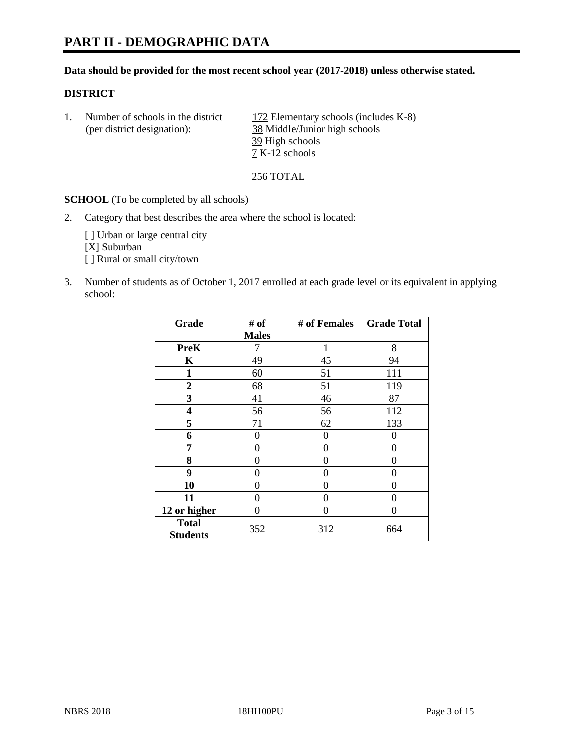#### **Data should be provided for the most recent school year (2017-2018) unless otherwise stated.**

## **DISTRICT**

1. Number of schools in the district  $172$  Elementary schools (includes K-8) (per district designation): 38 Middle/Junior high schools 39 High schools 7 K-12 schools

256 TOTAL

**SCHOOL** (To be completed by all schools)

2. Category that best describes the area where the school is located:

[] Urban or large central city [X] Suburban [] Rural or small city/town

3. Number of students as of October 1, 2017 enrolled at each grade level or its equivalent in applying school:

| Grade                           | # of         | # of Females | <b>Grade Total</b> |
|---------------------------------|--------------|--------------|--------------------|
|                                 | <b>Males</b> |              |                    |
| <b>PreK</b>                     | 7            | 1            | 8                  |
| K                               | 49           | 45           | 94                 |
| $\mathbf{1}$                    | 60           | 51           | 111                |
| 2                               | 68           | 51           | 119                |
| 3                               | 41           | 46           | 87                 |
| 4                               | 56           | 56           | 112                |
| 5                               | 71           | 62           | 133                |
| 6                               | 0            | 0            | $\Omega$           |
| 7                               | 0            | 0            | 0                  |
| 8                               | 0            | 0            | 0                  |
| 9                               | 0            | 0            | 0                  |
| 10                              | 0            | 0            | 0                  |
| 11                              | 0            | 0            | 0                  |
| 12 or higher                    | 0            | 0            | 0                  |
| <b>Total</b><br><b>Students</b> | 352          | 312          | 664                |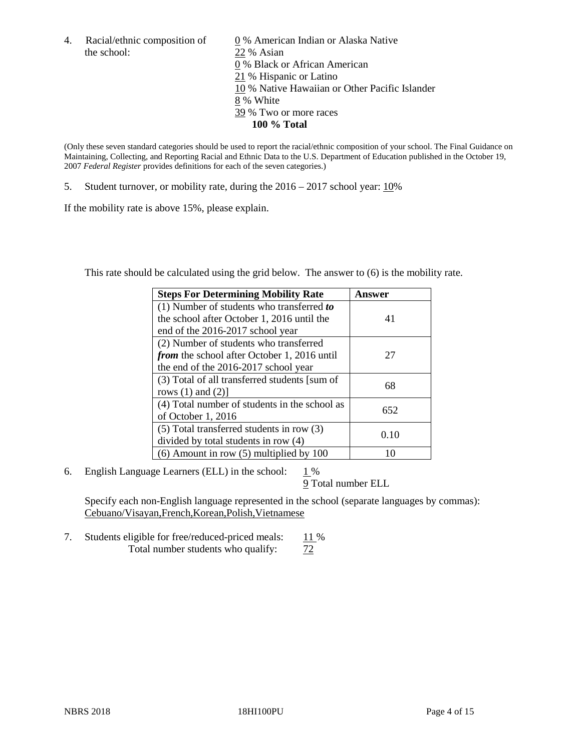the school: 22 % Asian

4. Racial/ethnic composition of  $\qquad 0\%$  American Indian or Alaska Native 0 % Black or African American 21 % Hispanic or Latino 10 % Native Hawaiian or Other Pacific Islander 8 % White 39 % Two or more races **100 % Total**

(Only these seven standard categories should be used to report the racial/ethnic composition of your school. The Final Guidance on Maintaining, Collecting, and Reporting Racial and Ethnic Data to the U.S. Department of Education published in the October 19, 2007 *Federal Register* provides definitions for each of the seven categories.)

5. Student turnover, or mobility rate, during the 2016 – 2017 school year: 10%

If the mobility rate is above 15%, please explain.

This rate should be calculated using the grid below. The answer to (6) is the mobility rate.

| <b>Steps For Determining Mobility Rate</b>         | Answer |
|----------------------------------------------------|--------|
| (1) Number of students who transferred to          |        |
| the school after October 1, 2016 until the         | 41     |
| end of the 2016-2017 school year                   |        |
| (2) Number of students who transferred             |        |
| <i>from</i> the school after October 1, 2016 until | 27     |
| the end of the 2016-2017 school year               |        |
| (3) Total of all transferred students [sum of      | 68     |
| rows $(1)$ and $(2)$ ]                             |        |
| (4) Total number of students in the school as      |        |
| of October 1, 2016                                 | 652    |
| $(5)$ Total transferred students in row $(3)$      |        |
| divided by total students in row (4)               | 0.10   |
| $(6)$ Amount in row $(5)$ multiplied by 100        |        |

6. English Language Learners (ELL) in the school:  $1\%$ 

9 Total number ELL

Specify each non-English language represented in the school (separate languages by commas): Cebuano/Visayan,French,Korean,Polish,Vietnamese

7. Students eligible for free/reduced-priced meals: 11 % Total number students who qualify:  $\frac{72}{ }$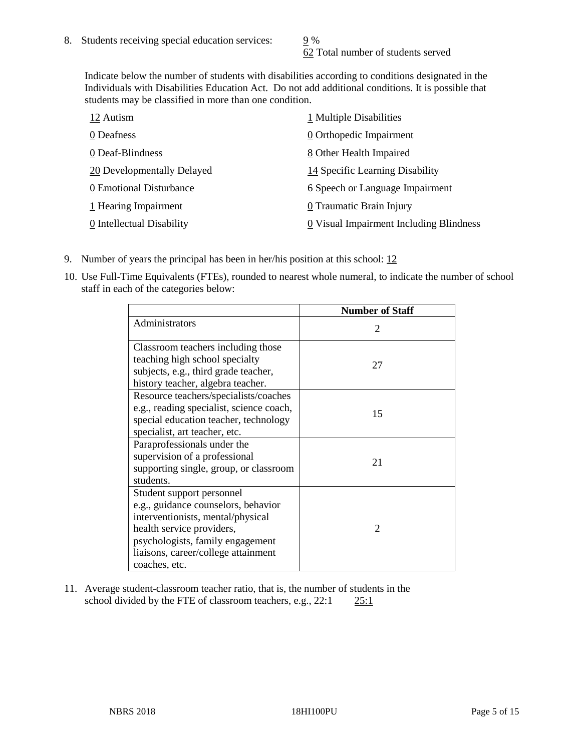62 Total number of students served

Indicate below the number of students with disabilities according to conditions designated in the Individuals with Disabilities Education Act. Do not add additional conditions. It is possible that students may be classified in more than one condition.

| 12 Autism                  | 1 Multiple Disabilities                 |
|----------------------------|-----------------------------------------|
| 0 Deafness                 | 0 Orthopedic Impairment                 |
| 0 Deaf-Blindness           | 8 Other Health Impaired                 |
| 20 Developmentally Delayed | 14 Specific Learning Disability         |
| 0 Emotional Disturbance    | 6 Speech or Language Impairment         |
| 1 Hearing Impairment       | 0 Traumatic Brain Injury                |
| 0 Intellectual Disability  | 0 Visual Impairment Including Blindness |

- 9. Number of years the principal has been in her/his position at this school:  $12$
- 10. Use Full-Time Equivalents (FTEs), rounded to nearest whole numeral, to indicate the number of school staff in each of the categories below:

|                                                                                                                                                                                                                                | <b>Number of Staff</b>      |
|--------------------------------------------------------------------------------------------------------------------------------------------------------------------------------------------------------------------------------|-----------------------------|
| Administrators                                                                                                                                                                                                                 | $\mathcal{D}_{\mathcal{L}}$ |
| Classroom teachers including those<br>teaching high school specialty<br>subjects, e.g., third grade teacher,<br>history teacher, algebra teacher.                                                                              | 27                          |
| Resource teachers/specialists/coaches<br>e.g., reading specialist, science coach,<br>special education teacher, technology<br>specialist, art teacher, etc.                                                                    | 15                          |
| Paraprofessionals under the<br>supervision of a professional<br>supporting single, group, or classroom<br>students.                                                                                                            | 21                          |
| Student support personnel<br>e.g., guidance counselors, behavior<br>interventionists, mental/physical<br>health service providers,<br>psychologists, family engagement<br>liaisons, career/college attainment<br>coaches, etc. | $\mathfrak{D}$              |

11. Average student-classroom teacher ratio, that is, the number of students in the school divided by the FTE of classroom teachers, e.g., 22:1 25:1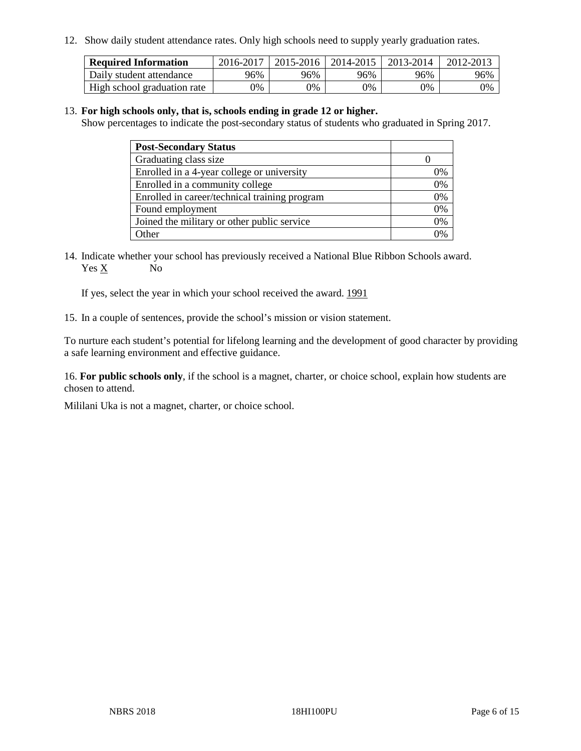12. Show daily student attendance rates. Only high schools need to supply yearly graduation rates.

| <b>Required Information</b> | 2016-2017 | $2015 - 2016$ | 2014-2015 | 2013-2014 | 2012-2013 |
|-----------------------------|-----------|---------------|-----------|-----------|-----------|
| Daily student attendance    | 96%       | 96%           | 96%       | 96%       | 96%       |
| High school graduation rate | 0%        | 0%            | 0%        | 9%        | 0%        |

#### 13. **For high schools only, that is, schools ending in grade 12 or higher.**

Show percentages to indicate the post-secondary status of students who graduated in Spring 2017.

| <b>Post-Secondary Status</b>                  |              |
|-----------------------------------------------|--------------|
| Graduating class size                         |              |
| Enrolled in a 4-year college or university    | 0%           |
| Enrolled in a community college               | 0%           |
| Enrolled in career/technical training program | 0%           |
| Found employment                              | 0%           |
| Joined the military or other public service   | 0%           |
| Other                                         | $\gamma_{0}$ |

14. Indicate whether your school has previously received a National Blue Ribbon Schools award. Yes X No

If yes, select the year in which your school received the award. 1991

15. In a couple of sentences, provide the school's mission or vision statement.

To nurture each student's potential for lifelong learning and the development of good character by providing a safe learning environment and effective guidance.

16. **For public schools only**, if the school is a magnet, charter, or choice school, explain how students are chosen to attend.

Mililani Uka is not a magnet, charter, or choice school.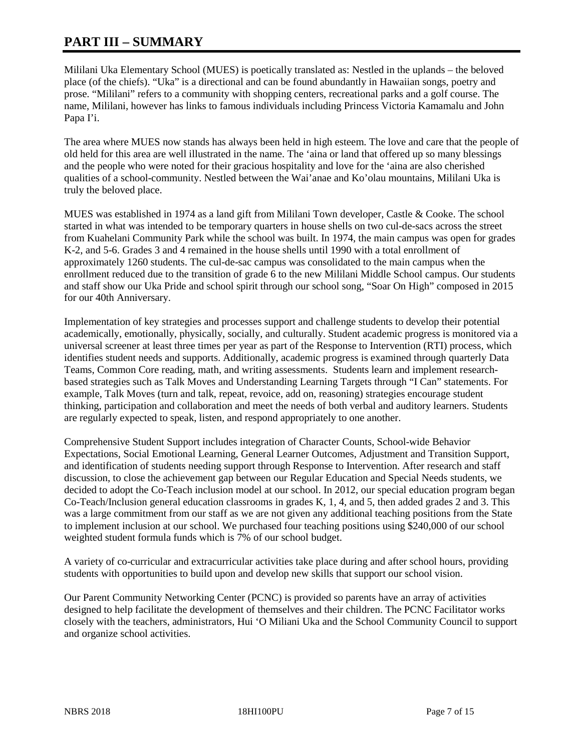# **PART III – SUMMARY**

Mililani Uka Elementary School (MUES) is poetically translated as: Nestled in the uplands – the beloved place (of the chiefs). "Uka" is a directional and can be found abundantly in Hawaiian songs, poetry and prose. "Mililani" refers to a community with shopping centers, recreational parks and a golf course. The name, Mililani, however has links to famous individuals including Princess Victoria Kamamalu and John Papa I'i.

The area where MUES now stands has always been held in high esteem. The love and care that the people of old held for this area are well illustrated in the name. The 'aina or land that offered up so many blessings and the people who were noted for their gracious hospitality and love for the 'aina are also cherished qualities of a school-community. Nestled between the Wai'anae and Ko'olau mountains, Mililani Uka is truly the beloved place.

MUES was established in 1974 as a land gift from Mililani Town developer, Castle & Cooke. The school started in what was intended to be temporary quarters in house shells on two cul-de-sacs across the street from Kuahelani Community Park while the school was built. In 1974, the main campus was open for grades K-2, and 5-6. Grades 3 and 4 remained in the house shells until 1990 with a total enrollment of approximately 1260 students. The cul-de-sac campus was consolidated to the main campus when the enrollment reduced due to the transition of grade 6 to the new Mililani Middle School campus. Our students and staff show our Uka Pride and school spirit through our school song, "Soar On High" composed in 2015 for our 40th Anniversary.

Implementation of key strategies and processes support and challenge students to develop their potential academically, emotionally, physically, socially, and culturally. Student academic progress is monitored via a universal screener at least three times per year as part of the Response to Intervention (RTI) process, which identifies student needs and supports. Additionally, academic progress is examined through quarterly Data Teams, Common Core reading, math, and writing assessments. Students learn and implement researchbased strategies such as Talk Moves and Understanding Learning Targets through "I Can" statements. For example, Talk Moves (turn and talk, repeat, revoice, add on, reasoning) strategies encourage student thinking, participation and collaboration and meet the needs of both verbal and auditory learners. Students are regularly expected to speak, listen, and respond appropriately to one another.

Comprehensive Student Support includes integration of Character Counts, School-wide Behavior Expectations, Social Emotional Learning, General Learner Outcomes, Adjustment and Transition Support, and identification of students needing support through Response to Intervention. After research and staff discussion, to close the achievement gap between our Regular Education and Special Needs students, we decided to adopt the Co-Teach inclusion model at our school. In 2012, our special education program began Co-Teach/Inclusion general education classrooms in grades K, 1, 4, and 5, then added grades 2 and 3. This was a large commitment from our staff as we are not given any additional teaching positions from the State to implement inclusion at our school. We purchased four teaching positions using \$240,000 of our school weighted student formula funds which is 7% of our school budget.

A variety of co-curricular and extracurricular activities take place during and after school hours, providing students with opportunities to build upon and develop new skills that support our school vision.

Our Parent Community Networking Center (PCNC) is provided so parents have an array of activities designed to help facilitate the development of themselves and their children. The PCNC Facilitator works closely with the teachers, administrators, Hui 'O Miliani Uka and the School Community Council to support and organize school activities.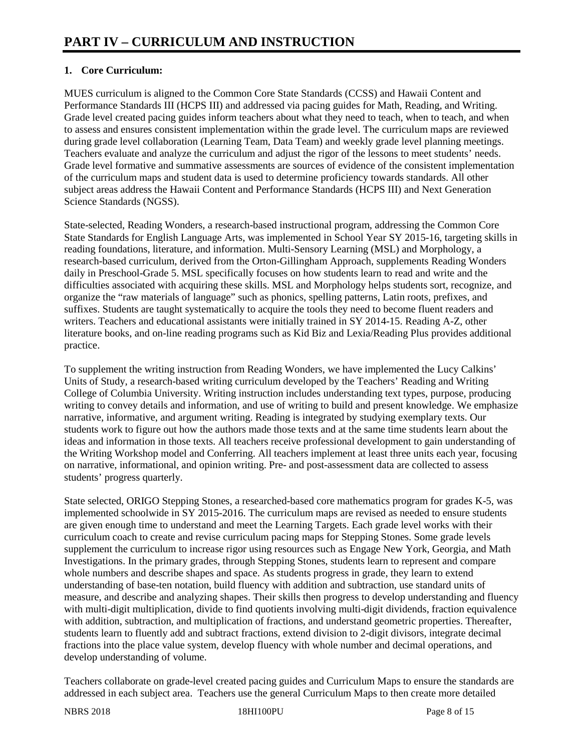# **1. Core Curriculum:**

MUES curriculum is aligned to the Common Core State Standards (CCSS) and Hawaii Content and Performance Standards III (HCPS III) and addressed via pacing guides for Math, Reading, and Writing. Grade level created pacing guides inform teachers about what they need to teach, when to teach, and when to assess and ensures consistent implementation within the grade level. The curriculum maps are reviewed during grade level collaboration (Learning Team, Data Team) and weekly grade level planning meetings. Teachers evaluate and analyze the curriculum and adjust the rigor of the lessons to meet students' needs. Grade level formative and summative assessments are sources of evidence of the consistent implementation of the curriculum maps and student data is used to determine proficiency towards standards. All other subject areas address the Hawaii Content and Performance Standards (HCPS III) and Next Generation Science Standards (NGSS).

State-selected, Reading Wonders, a research-based instructional program, addressing the Common Core State Standards for English Language Arts, was implemented in School Year SY 2015-16, targeting skills in reading foundations, literature, and information. Multi-Sensory Learning (MSL) and Morphology, a research-based curriculum, derived from the Orton-Gillingham Approach, supplements Reading Wonders daily in Preschool-Grade 5. MSL specifically focuses on how students learn to read and write and the difficulties associated with acquiring these skills. MSL and Morphology helps students sort, recognize, and organize the "raw materials of language" such as phonics, spelling patterns, Latin roots, prefixes, and suffixes. Students are taught systematically to acquire the tools they need to become fluent readers and writers. Teachers and educational assistants were initially trained in SY 2014-15. Reading A-Z, other literature books, and on-line reading programs such as Kid Biz and Lexia/Reading Plus provides additional practice.

To supplement the writing instruction from Reading Wonders, we have implemented the Lucy Calkins' Units of Study, a research-based writing curriculum developed by the Teachers' Reading and Writing College of Columbia University. Writing instruction includes understanding text types, purpose, producing writing to convey details and information, and use of writing to build and present knowledge. We emphasize narrative, informative, and argument writing. Reading is integrated by studying exemplary texts. Our students work to figure out how the authors made those texts and at the same time students learn about the ideas and information in those texts. All teachers receive professional development to gain understanding of the Writing Workshop model and Conferring. All teachers implement at least three units each year, focusing on narrative, informational, and opinion writing. Pre- and post-assessment data are collected to assess students' progress quarterly.

State selected, ORIGO Stepping Stones, a researched-based core mathematics program for grades K-5, was implemented schoolwide in SY 2015-2016. The curriculum maps are revised as needed to ensure students are given enough time to understand and meet the Learning Targets. Each grade level works with their curriculum coach to create and revise curriculum pacing maps for Stepping Stones. Some grade levels supplement the curriculum to increase rigor using resources such as Engage New York, Georgia, and Math Investigations. In the primary grades, through Stepping Stones, students learn to represent and compare whole numbers and describe shapes and space. As students progress in grade, they learn to extend understanding of base-ten notation, build fluency with addition and subtraction, use standard units of measure, and describe and analyzing shapes. Their skills then progress to develop understanding and fluency with multi-digit multiplication, divide to find quotients involving multi-digit dividends, fraction equivalence with addition, subtraction, and multiplication of fractions, and understand geometric properties. Thereafter, students learn to fluently add and subtract fractions, extend division to 2-digit divisors, integrate decimal fractions into the place value system, develop fluency with whole number and decimal operations, and develop understanding of volume.

Teachers collaborate on grade-level created pacing guides and Curriculum Maps to ensure the standards are addressed in each subject area. Teachers use the general Curriculum Maps to then create more detailed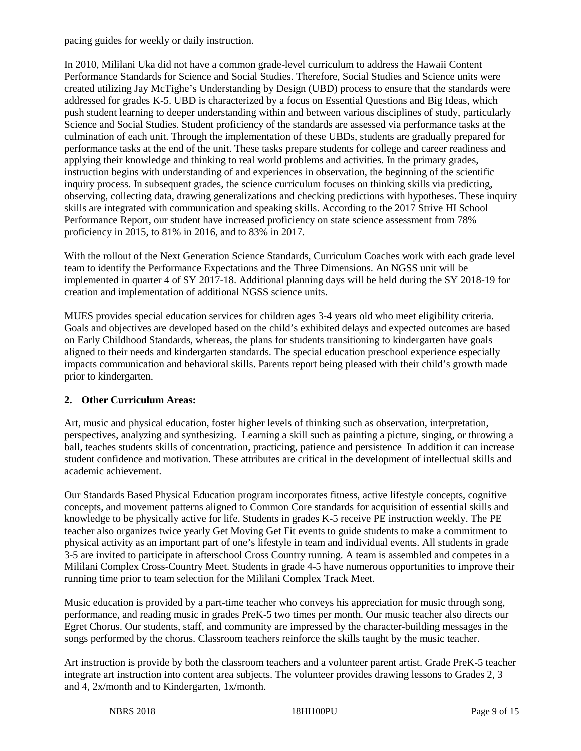pacing guides for weekly or daily instruction.

In 2010, Mililani Uka did not have a common grade-level curriculum to address the Hawaii Content Performance Standards for Science and Social Studies. Therefore, Social Studies and Science units were created utilizing Jay McTighe's Understanding by Design (UBD) process to ensure that the standards were addressed for grades K-5. UBD is characterized by a focus on Essential Questions and Big Ideas, which push student learning to deeper understanding within and between various disciplines of study, particularly Science and Social Studies. Student proficiency of the standards are assessed via performance tasks at the culmination of each unit. Through the implementation of these UBDs, students are gradually prepared for performance tasks at the end of the unit. These tasks prepare students for college and career readiness and applying their knowledge and thinking to real world problems and activities. In the primary grades, instruction begins with understanding of and experiences in observation, the beginning of the scientific inquiry process. In subsequent grades, the science curriculum focuses on thinking skills via predicting, observing, collecting data, drawing generalizations and checking predictions with hypotheses. These inquiry skills are integrated with communication and speaking skills. According to the 2017 Strive HI School Performance Report, our student have increased proficiency on state science assessment from 78% proficiency in 2015, to 81% in 2016, and to 83% in 2017.

With the rollout of the Next Generation Science Standards, Curriculum Coaches work with each grade level team to identify the Performance Expectations and the Three Dimensions. An NGSS unit will be implemented in quarter 4 of SY 2017-18. Additional planning days will be held during the SY 2018-19 for creation and implementation of additional NGSS science units.

MUES provides special education services for children ages 3-4 years old who meet eligibility criteria. Goals and objectives are developed based on the child's exhibited delays and expected outcomes are based on Early Childhood Standards, whereas, the plans for students transitioning to kindergarten have goals aligned to their needs and kindergarten standards. The special education preschool experience especially impacts communication and behavioral skills. Parents report being pleased with their child's growth made prior to kindergarten.

# **2. Other Curriculum Areas:**

Art, music and physical education, foster higher levels of thinking such as observation, interpretation, perspectives, analyzing and synthesizing. Learning a skill such as painting a picture, singing, or throwing a ball, teaches students skills of concentration, practicing, patience and persistence In addition it can increase student confidence and motivation. These attributes are critical in the development of intellectual skills and academic achievement.

Our Standards Based Physical Education program incorporates fitness, active lifestyle concepts, cognitive concepts, and movement patterns aligned to Common Core standards for acquisition of essential skills and knowledge to be physically active for life. Students in grades K-5 receive PE instruction weekly. The PE teacher also organizes twice yearly Get Moving Get Fit events to guide students to make a commitment to physical activity as an important part of one's lifestyle in team and individual events. All students in grade 3-5 are invited to participate in afterschool Cross Country running. A team is assembled and competes in a Mililani Complex Cross-Country Meet. Students in grade 4-5 have numerous opportunities to improve their running time prior to team selection for the Mililani Complex Track Meet.

Music education is provided by a part-time teacher who conveys his appreciation for music through song, performance, and reading music in grades PreK-5 two times per month. Our music teacher also directs our Egret Chorus. Our students, staff, and community are impressed by the character-building messages in the songs performed by the chorus. Classroom teachers reinforce the skills taught by the music teacher.

Art instruction is provide by both the classroom teachers and a volunteer parent artist. Grade PreK-5 teacher integrate art instruction into content area subjects. The volunteer provides drawing lessons to Grades 2, 3 and 4, 2x/month and to Kindergarten, 1x/month.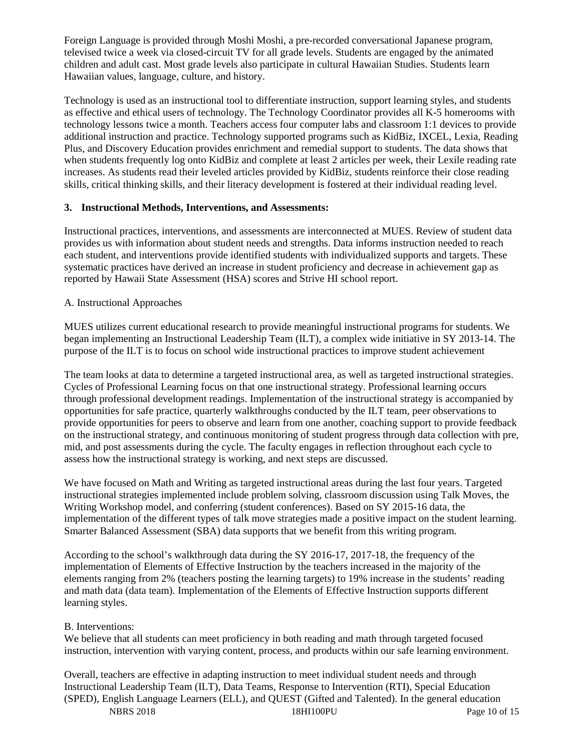Foreign Language is provided through Moshi Moshi, a pre-recorded conversational Japanese program, televised twice a week via closed-circuit TV for all grade levels. Students are engaged by the animated children and adult cast. Most grade levels also participate in cultural Hawaiian Studies. Students learn Hawaiian values, language, culture, and history.

Technology is used as an instructional tool to differentiate instruction, support learning styles, and students as effective and ethical users of technology. The Technology Coordinator provides all K-5 homerooms with technology lessons twice a month. Teachers access four computer labs and classroom 1:1 devices to provide additional instruction and practice. Technology supported programs such as KidBiz, IXCEL, Lexia, Reading Plus, and Discovery Education provides enrichment and remedial support to students. The data shows that when students frequently log onto KidBiz and complete at least 2 articles per week, their Lexile reading rate increases. As students read their leveled articles provided by KidBiz, students reinforce their close reading skills, critical thinking skills, and their literacy development is fostered at their individual reading level.

#### **3. Instructional Methods, Interventions, and Assessments:**

Instructional practices, interventions, and assessments are interconnected at MUES. Review of student data provides us with information about student needs and strengths. Data informs instruction needed to reach each student, and interventions provide identified students with individualized supports and targets. These systematic practices have derived an increase in student proficiency and decrease in achievement gap as reported by Hawaii State Assessment (HSA) scores and Strive HI school report.

#### A. Instructional Approaches

MUES utilizes current educational research to provide meaningful instructional programs for students. We began implementing an Instructional Leadership Team (ILT), a complex wide initiative in SY 2013-14. The purpose of the ILT is to focus on school wide instructional practices to improve student achievement

The team looks at data to determine a targeted instructional area, as well as targeted instructional strategies. Cycles of Professional Learning focus on that one instructional strategy. Professional learning occurs through professional development readings. Implementation of the instructional strategy is accompanied by opportunities for safe practice, quarterly walkthroughs conducted by the ILT team, peer observations to provide opportunities for peers to observe and learn from one another, coaching support to provide feedback on the instructional strategy, and continuous monitoring of student progress through data collection with pre, mid, and post assessments during the cycle. The faculty engages in reflection throughout each cycle to assess how the instructional strategy is working, and next steps are discussed.

We have focused on Math and Writing as targeted instructional areas during the last four years. Targeted instructional strategies implemented include problem solving, classroom discussion using Talk Moves, the Writing Workshop model, and conferring (student conferences). Based on SY 2015-16 data, the implementation of the different types of talk move strategies made a positive impact on the student learning. Smarter Balanced Assessment (SBA) data supports that we benefit from this writing program.

According to the school's walkthrough data during the SY 2016-17, 2017-18, the frequency of the implementation of Elements of Effective Instruction by the teachers increased in the majority of the elements ranging from 2% (teachers posting the learning targets) to 19% increase in the students' reading and math data (data team). Implementation of the Elements of Effective Instruction supports different learning styles.

#### B. Interventions:

We believe that all students can meet proficiency in both reading and math through targeted focused instruction, intervention with varying content, process, and products within our safe learning environment.

NBRS 2018 18HI100PU Page 10 of 15 Overall, teachers are effective in adapting instruction to meet individual student needs and through Instructional Leadership Team (ILT), Data Teams, Response to Intervention (RTI), Special Education (SPED), English Language Learners (ELL), and QUEST (Gifted and Talented). In the general education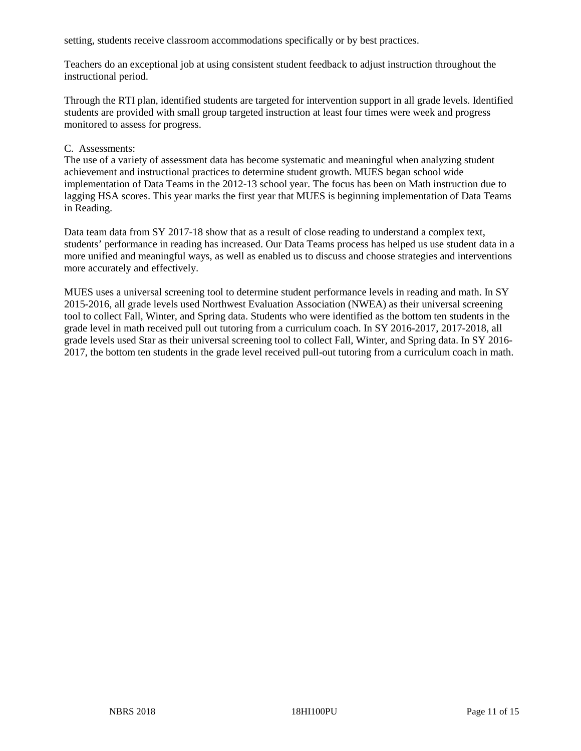setting, students receive classroom accommodations specifically or by best practices.

Teachers do an exceptional job at using consistent student feedback to adjust instruction throughout the instructional period.

Through the RTI plan, identified students are targeted for intervention support in all grade levels. Identified students are provided with small group targeted instruction at least four times were week and progress monitored to assess for progress.

#### C. Assessments:

The use of a variety of assessment data has become systematic and meaningful when analyzing student achievement and instructional practices to determine student growth. MUES began school wide implementation of Data Teams in the 2012-13 school year. The focus has been on Math instruction due to lagging HSA scores. This year marks the first year that MUES is beginning implementation of Data Teams in Reading.

Data team data from SY 2017-18 show that as a result of close reading to understand a complex text, students' performance in reading has increased. Our Data Teams process has helped us use student data in a more unified and meaningful ways, as well as enabled us to discuss and choose strategies and interventions more accurately and effectively.

MUES uses a universal screening tool to determine student performance levels in reading and math. In SY 2015-2016, all grade levels used Northwest Evaluation Association (NWEA) as their universal screening tool to collect Fall, Winter, and Spring data. Students who were identified as the bottom ten students in the grade level in math received pull out tutoring from a curriculum coach. In SY 2016-2017, 2017-2018, all grade levels used Star as their universal screening tool to collect Fall, Winter, and Spring data. In SY 2016- 2017, the bottom ten students in the grade level received pull-out tutoring from a curriculum coach in math.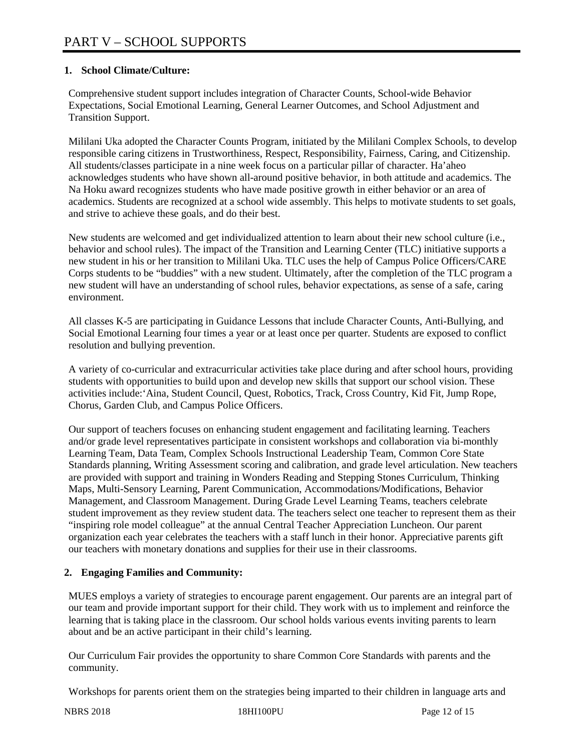# **1. School Climate/Culture:**

Comprehensive student support includes integration of Character Counts, School-wide Behavior Expectations, Social Emotional Learning, General Learner Outcomes, and School Adjustment and Transition Support.

Mililani Uka adopted the Character Counts Program, initiated by the Mililani Complex Schools, to develop responsible caring citizens in Trustworthiness, Respect, Responsibility, Fairness, Caring, and Citizenship. All students/classes participate in a nine week focus on a particular pillar of character. Ha'aheo acknowledges students who have shown all-around positive behavior, in both attitude and academics. The Na Hoku award recognizes students who have made positive growth in either behavior or an area of academics. Students are recognized at a school wide assembly. This helps to motivate students to set goals, and strive to achieve these goals, and do their best.

New students are welcomed and get individualized attention to learn about their new school culture (i.e., behavior and school rules). The impact of the Transition and Learning Center (TLC) initiative supports a new student in his or her transition to Mililani Uka. TLC uses the help of Campus Police Officers/CARE Corps students to be "buddies" with a new student. Ultimately, after the completion of the TLC program a new student will have an understanding of school rules, behavior expectations, as sense of a safe, caring environment.

All classes K-5 are participating in Guidance Lessons that include Character Counts, Anti-Bullying, and Social Emotional Learning four times a year or at least once per quarter. Students are exposed to conflict resolution and bullying prevention.

A variety of co-curricular and extracurricular activities take place during and after school hours, providing students with opportunities to build upon and develop new skills that support our school vision. These activities include:'Aina, Student Council, Quest, Robotics, Track, Cross Country, Kid Fit, Jump Rope, Chorus, Garden Club, and Campus Police Officers.

Our support of teachers focuses on enhancing student engagement and facilitating learning. Teachers and/or grade level representatives participate in consistent workshops and collaboration via bi-monthly Learning Team, Data Team, Complex Schools Instructional Leadership Team, Common Core State Standards planning, Writing Assessment scoring and calibration, and grade level articulation. New teachers are provided with support and training in Wonders Reading and Stepping Stones Curriculum, Thinking Maps, Multi-Sensory Learning, Parent Communication, Accommodations/Modifications, Behavior Management, and Classroom Management. During Grade Level Learning Teams, teachers celebrate student improvement as they review student data. The teachers select one teacher to represent them as their "inspiring role model colleague" at the annual Central Teacher Appreciation Luncheon. Our parent organization each year celebrates the teachers with a staff lunch in their honor. Appreciative parents gift our teachers with monetary donations and supplies for their use in their classrooms.

# **2. Engaging Families and Community:**

MUES employs a variety of strategies to encourage parent engagement. Our parents are an integral part of our team and provide important support for their child. They work with us to implement and reinforce the learning that is taking place in the classroom. Our school holds various events inviting parents to learn about and be an active participant in their child's learning.

Our Curriculum Fair provides the opportunity to share Common Core Standards with parents and the community.

Workshops for parents orient them on the strategies being imparted to their children in language arts and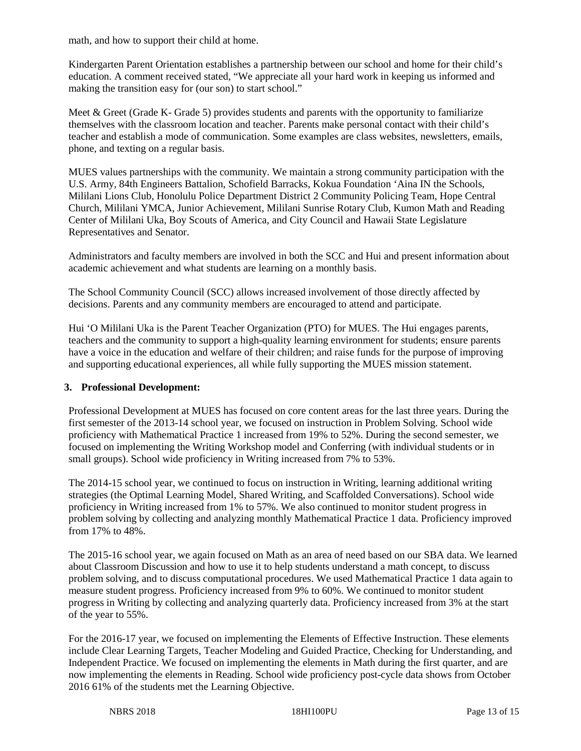math, and how to support their child at home.

Kindergarten Parent Orientation establishes a partnership between our school and home for their child's education. A comment received stated, "We appreciate all your hard work in keeping us informed and making the transition easy for (our son) to start school."

Meet & Greet (Grade K- Grade 5) provides students and parents with the opportunity to familiarize themselves with the classroom location and teacher. Parents make personal contact with their child's teacher and establish a mode of communication. Some examples are class websites, newsletters, emails, phone, and texting on a regular basis.

MUES values partnerships with the community. We maintain a strong community participation with the U.S. Army, 84th Engineers Battalion, Schofield Barracks, Kokua Foundation 'Aina IN the Schools, Mililani Lions Club, Honolulu Police Department District 2 Community Policing Team, Hope Central Church, Mililani YMCA, Junior Achievement, Mililani Sunrise Rotary Club, Kumon Math and Reading Center of Mililani Uka, Boy Scouts of America, and City Council and Hawaii State Legislature Representatives and Senator.

Administrators and faculty members are involved in both the SCC and Hui and present information about academic achievement and what students are learning on a monthly basis.

The School Community Council (SCC) allows increased involvement of those directly affected by decisions. Parents and any community members are encouraged to attend and participate.

Hui 'O Mililani Uka is the Parent Teacher Organization (PTO) for MUES. The Hui engages parents, teachers and the community to support a high-quality learning environment for students; ensure parents have a voice in the education and welfare of their children; and raise funds for the purpose of improving and supporting educational experiences, all while fully supporting the MUES mission statement.

#### **3. Professional Development:**

Professional Development at MUES has focused on core content areas for the last three years. During the first semester of the 2013-14 school year, we focused on instruction in Problem Solving. School wide proficiency with Mathematical Practice 1 increased from 19% to 52%. During the second semester, we focused on implementing the Writing Workshop model and Conferring (with individual students or in small groups). School wide proficiency in Writing increased from 7% to 53%.

The 2014-15 school year, we continued to focus on instruction in Writing, learning additional writing strategies (the Optimal Learning Model, Shared Writing, and Scaffolded Conversations). School wide proficiency in Writing increased from 1% to 57%. We also continued to monitor student progress in problem solving by collecting and analyzing monthly Mathematical Practice 1 data. Proficiency improved from 17% to 48%.

The 2015-16 school year, we again focused on Math as an area of need based on our SBA data. We learned about Classroom Discussion and how to use it to help students understand a math concept, to discuss problem solving, and to discuss computational procedures. We used Mathematical Practice 1 data again to measure student progress. Proficiency increased from 9% to 60%. We continued to monitor student progress in Writing by collecting and analyzing quarterly data. Proficiency increased from 3% at the start of the year to 55%.

For the 2016-17 year, we focused on implementing the Elements of Effective Instruction. These elements include Clear Learning Targets, Teacher Modeling and Guided Practice, Checking for Understanding, and Independent Practice. We focused on implementing the elements in Math during the first quarter, and are now implementing the elements in Reading. School wide proficiency post-cycle data shows from October 2016 61% of the students met the Learning Objective.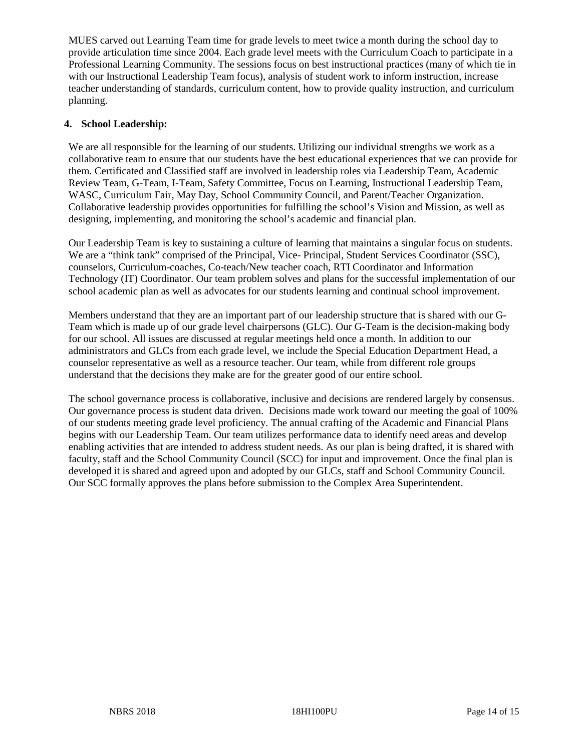MUES carved out Learning Team time for grade levels to meet twice a month during the school day to provide articulation time since 2004. Each grade level meets with the Curriculum Coach to participate in a Professional Learning Community. The sessions focus on best instructional practices (many of which tie in with our Instructional Leadership Team focus), analysis of student work to inform instruction, increase teacher understanding of standards, curriculum content, how to provide quality instruction, and curriculum planning.

## **4. School Leadership:**

We are all responsible for the learning of our students. Utilizing our individual strengths we work as a collaborative team to ensure that our students have the best educational experiences that we can provide for them. Certificated and Classified staff are involved in leadership roles via Leadership Team, Academic Review Team, G-Team, I-Team, Safety Committee, Focus on Learning, Instructional Leadership Team, WASC, Curriculum Fair, May Day, School Community Council, and Parent/Teacher Organization. Collaborative leadership provides opportunities for fulfilling the school's Vision and Mission, as well as designing, implementing, and monitoring the school's academic and financial plan.

Our Leadership Team is key to sustaining a culture of learning that maintains a singular focus on students. We are a "think tank" comprised of the Principal, Vice- Principal, Student Services Coordinator (SSC), counselors, Curriculum-coaches, Co-teach/New teacher coach, RTI Coordinator and Information Technology (IT) Coordinator. Our team problem solves and plans for the successful implementation of our school academic plan as well as advocates for our students learning and continual school improvement.

Members understand that they are an important part of our leadership structure that is shared with our G-Team which is made up of our grade level chairpersons (GLC). Our G-Team is the decision-making body for our school. All issues are discussed at regular meetings held once a month. In addition to our administrators and GLCs from each grade level, we include the Special Education Department Head, a counselor representative as well as a resource teacher. Our team, while from different role groups understand that the decisions they make are for the greater good of our entire school.

The school governance process is collaborative, inclusive and decisions are rendered largely by consensus. Our governance process is student data driven. Decisions made work toward our meeting the goal of 100% of our students meeting grade level proficiency. The annual crafting of the Academic and Financial Plans begins with our Leadership Team. Our team utilizes performance data to identify need areas and develop enabling activities that are intended to address student needs. As our plan is being drafted, it is shared with faculty, staff and the School Community Council (SCC) for input and improvement. Once the final plan is developed it is shared and agreed upon and adopted by our GLCs, staff and School Community Council. Our SCC formally approves the plans before submission to the Complex Area Superintendent.